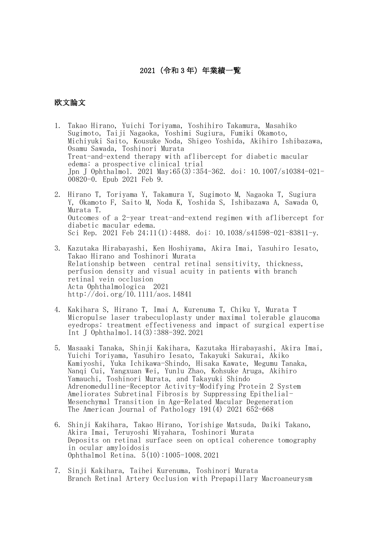## 2021(令和 3 年)年業績一覧

## 欧文論文

- 1. Takao Hirano, Yuichi Toriyama, Yoshihiro Takamura, Masahiko Sugimoto, Taiji Nagaoka, Yoshimi Sugiura, Fumiki Okamoto, Michiyuki Saito, Kousuke Noda, Shigeo Yoshida, Akihiro Ishibazawa, Osamu Sawada, Toshinori Murata Treat-and-extend therapy with aflibercept for diabetic macular edema: a prospective clinical trial Jpn J Ophthalmol. 2021 May;65(3):354-362. doi: 10.1007/s10384-021- 00820-0. Epub 2021 Feb 9.
- 2. Hirano T, Toriyama Y, Takamura Y, Sugimoto M, Nagaoka T, Sugiura Y, Okamoto F, Saito M, Noda K, Yoshida S, Ishibazawa A, Sawada O, Murata T. Outcomes of a 2-year treat-and-extend regimen with aflibercept for diabetic macular edema. Sci Rep. 2021 Feb 24;11(1):4488. doi: 10.1038/s41598-021-83811-y.
- 3. Kazutaka Hirabayashi, Ken Hoshiyama, Akira Imai, Yasuhiro Iesato, Takao Hirano and Toshinori Murata Relationship between central retinal sensitivity, thickness, perfusion density and visual acuity in patients with branch retinal vein occlusion Acta Ophthalmologica 2021 http://doi.org/10.1111/aos.14841
- 4. Kakihara S, Hirano T, Imai A, Kurenuma T, Chiku Y, Murata T Micropulse laser trabeculoplasty under maximal tolerable glaucoma eyedrops: treatment effectiveness and impact of surgical expertise Int J Ophthalmol.14(3):388-392.2021
- 5. Masaaki Tanaka, Shinji Kakihara, Kazutaka Hirabayashi, Akira Imai, Yuichi Toriyama, Yasuhiro Iesato, Takayuki Sakurai, Akiko Kamiyoshi, Yuka Ichikawa-Shindo, Hisaka Kawate, Megumu Tanaka, Nanqi Cui, Yangxuan Wei, Yunlu Zhao, Kohsuke Aruga, Akihiro Yamauchi, Toshinori Murata, and Takayuki Shindo Adrenomedulline-Receptor Activity-Modifying Protein 2 System Ameliorates Subretinal Fibrosis by Suppressing Epithelial-Mesenchymal Transition in Age-Related Macular Degeneration The American Journal of Pathology 191(4) 2021 652-668
- 6. Shinji Kakihara, Takao Hirano, Yorishige Matsuda, Daiki Takano, Akira Imai, Teruyoshi Miyahara, Toshinori Murata Deposits on retinal surface seen on optical coherence tomography in ocular amyloidosis Ophthalmol Retina. 5(10):1005-1008.2021
- 7. Sinji Kakihara, Taihei Kurenuma, Toshinori Murata Branch Retinal Artery Occlusion with Prepapillary Macroaneurysm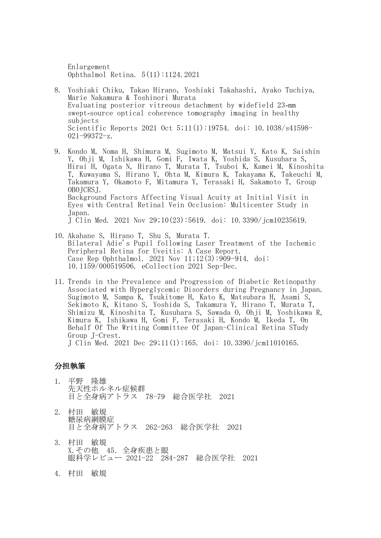Enlargement Ophthalmol Retina. 5(11):1124.2021

- 8. Yoshiaki Chiku, Takao Hirano, Yoshiaki Takahashi, Ayako Tuchiya, Marie Nakamura & Toshinori Murata Evaluating posterior vitreous detachment by widefield 23‑mm swept–source optical coherence tomography imaging in healthy subjects Scientific Reports 2021 Oct 5;11(1):19754. doi: 10.1038/s41598- 021-99372-z.
- 9. Kondo M, Noma H, Shimura M, Sugimoto M, Matsui Y, Kato K, Saishin Y, Ohji M, Ishikawa H, Gomi F, Iwata K, Yoshida S, Kusuhara S, Hirai H, Ogata N, Hirano T, Murata T, Tsuboi K, Kamei M, Kinoshita T, Kuwayama S, Hirano Y, Ohta M, Kimura K, Takayama K, Takeuchi M, Takamura Y, Okamoto F, Mitamura Y, Terasaki H, Sakamoto T, Group OBOJCRSJ. Background Factors Affecting Visual Acuity at Initial Visit in Eyes with Central Retinal Vein Occlusion: Multicenter Study in Japan. J Clin Med. 2021 Nov 29;10(23):5619. doi: 10.3390/jcm10235619.
- 10. Akahane S, Hirano T, Shu S, Murata T. Bilateral Adie's Pupil following Laser Treatment of the Ischemic Peripheral Retina for Uveitis: A Case Report. Case Rep Ophthalmol. 2021 Nov 11;12(3):909-914. doi: 10.1159/000519506. eCollection 2021 Sep-Dec.
- 11. Trends in the Prevalence and Progression of Diabetic Retinopathy Associated with Hyperglycemic Disorders during Pregnancy in Japan. Sugimoto M, Sampa K, Tsukitome H, Kato K, Matsubara H, Asami S, Sekimoto K, Kitano S, Yoshida S, Takamura Y, Hirano T, Murata T, Shimizu M, Kinoshita T, Kusuhara S, Sawada O, Ohji M, Yoshikawa R, Kimura K, Ishikawa H, Gomi F, Terasaki H, Kondo M, Ikeda T, On Behalf Of The Writing Committee Of Japan-Clinical Retina STudy Group J-Crest. J Clin Med. 2021 Dec 29;11(1):165. doi: 10.3390/jcm11010165.

## 分担執筆

- 1. 平野 隆雄 先天性ホルネル症候群 目と全身病アトラス 78-79 総合医学社 2021
- 2. 村田 敏規 糖尿病網膜症 目と全身病アトラス 262-263 総合医学社 2021
- 3. 村田 敏規 X.その他 45.全身疾患と眼 眼科学レビュー 2021-22 284-287 総合医学社 2021
- 4. 村田 敏規